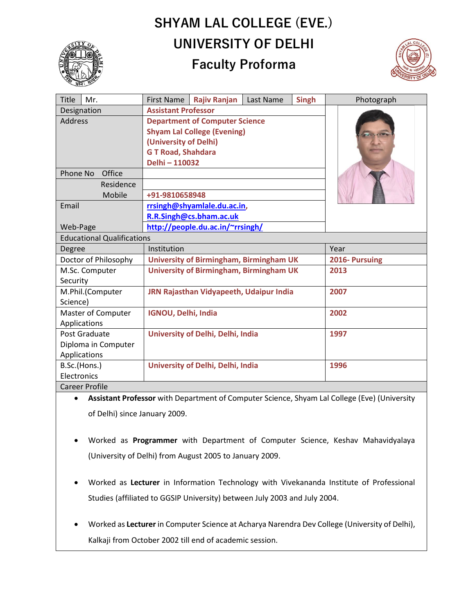# **SHYAM LAL COLLEGE (EVE.) UNIVERSITY OF DELHI**





| <b>Title</b>                      | Mr.    | <b>First Name</b>                              | <b>Rajiv Ranjan</b> | Last Name | <b>Singh</b>   | Photograph |
|-----------------------------------|--------|------------------------------------------------|---------------------|-----------|----------------|------------|
| Designation                       |        | <b>Assistant Professor</b>                     |                     |           |                |            |
| <b>Address</b>                    |        | <b>Department of Computer Science</b>          |                     |           |                |            |
|                                   |        | <b>Shyam Lal College (Evening)</b>             |                     |           |                |            |
|                                   |        | (University of Delhi)                          |                     |           |                |            |
|                                   |        | <b>GT Road, Shahdara</b>                       |                     |           |                |            |
|                                   |        | Delhi - 110032                                 |                     |           |                |            |
| Phone No                          | Office |                                                |                     |           |                |            |
| Residence                         |        |                                                |                     |           |                |            |
| Mobile                            |        | +91-9810658948                                 |                     |           |                |            |
| Email                             |        | rrsingh@shyamlale.du.ac.in,                    |                     |           |                |            |
|                                   |        | R.R.Singh@cs.bham.ac.uk                        |                     |           |                |            |
| Web-Page                          |        | http://people.du.ac.in/~rrsingh/               |                     |           |                |            |
| <b>Educational Qualifications</b> |        |                                                |                     |           |                |            |
| Degree                            |        | Institution                                    |                     |           | Year           |            |
| Doctor of Philosophy              |        | <b>University of Birmingham, Birmingham UK</b> |                     |           | 2016- Pursuing |            |
| M.Sc. Computer                    |        | <b>University of Birmingham, Birmingham UK</b> |                     |           | 2013           |            |
| Security                          |        |                                                |                     |           |                |            |
| M.Phil.(Computer                  |        | JRN Rajasthan Vidyapeeth, Udaipur India        |                     |           | 2007           |            |
| Science)                          |        |                                                |                     |           |                |            |
| Master of Computer                |        | <b>IGNOU, Delhi, India</b>                     |                     |           | 2002           |            |
| Applications                      |        |                                                |                     |           |                |            |
| Post Graduate                     |        | University of Delhi, Delhi, India              |                     |           | 1997           |            |
| Diploma in Computer               |        |                                                |                     |           |                |            |
| Applications                      |        |                                                |                     |           |                |            |
| B.Sc.(Hons.)                      |        | University of Delhi, Delhi, India              |                     |           | 1996           |            |
| Electronics                       |        |                                                |                     |           |                |            |
| <b>Career Profile</b>             |        |                                                |                     |           |                |            |

• **Assistant Professor** with Department of Computer Science, Shyam Lal College (Eve) (University of Delhi) since January 2009.

- Worked as **Programmer** with Department of Computer Science, Keshav Mahavidyalaya (University of Delhi) from August 2005 to January 2009.
- Worked as **Lecturer** in Information Technology with Vivekananda Institute of Professional Studies (affiliated to GGSIP University) between July 2003 and July 2004.
- Worked as **Lecturer** in Computer Science at Acharya Narendra Dev College (University of Delhi), Kalkaji from October 2002 till end of academic session.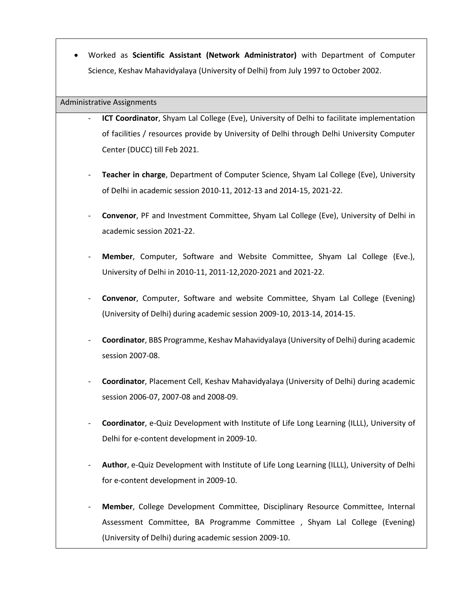• Worked as **Scientific Assistant (Network Administrator)** with Department of Computer Science, Keshav Mahavidyalaya (University of Delhi) from July 1997 to October 2002.

### Administrative Assignments

- **ICT Coordinator**, Shyam Lal College (Eve), University of Delhi to facilitate implementation of facilities / resources provide by University of Delhi through Delhi University Computer Center (DUCC) till Feb 2021.
- **Teacher in charge**, Department of Computer Science, Shyam Lal College (Eve), University of Delhi in academic session 2010-11, 2012-13 and 2014-15, 2021-22.
- **Convenor**, PF and Investment Committee, Shyam Lal College (Eve), University of Delhi in academic session 2021-22.
- **Member**, Computer, Software and Website Committee, Shyam Lal College (Eve.), University of Delhi in 2010-11, 2011-12,2020-2021 and 2021-22.
- **Convenor**, Computer, Software and website Committee, Shyam Lal College (Evening) (University of Delhi) during academic session 2009-10, 2013-14, 2014-15.
- **Coordinator**, BBS Programme, Keshav Mahavidyalaya (University of Delhi) during academic session 2007-08.
- **Coordinator**, Placement Cell, Keshav Mahavidyalaya (University of Delhi) during academic session 2006-07, 2007-08 and 2008-09.
- **Coordinator**, e-Quiz Development with Institute of Life Long Learning (ILLL), University of Delhi for e-content development in 2009-10.
- **Author**, e-Quiz Development with Institute of Life Long Learning (ILLL), University of Delhi for e-content development in 2009-10.
- **Member**, College Development Committee, Disciplinary Resource Committee, Internal Assessment Committee, BA Programme Committee , Shyam Lal College (Evening) (University of Delhi) during academic session 2009-10.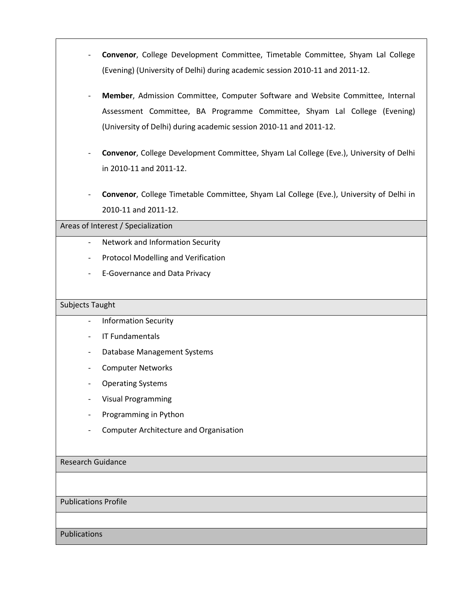- **Convenor**, College Development Committee, Timetable Committee, Shyam Lal College (Evening) (University of Delhi) during academic session 2010-11 and 2011-12.
- **Member**, Admission Committee, Computer Software and Website Committee, Internal Assessment Committee, BA Programme Committee, Shyam Lal College (Evening) (University of Delhi) during academic session 2010-11 and 2011-12.
- **Convenor**, College Development Committee, Shyam Lal College (Eve.), University of Delhi in 2010-11 and 2011-12.
- **Convenor**, College Timetable Committee, Shyam Lal College (Eve.), University of Delhi in 2010-11 and 2011-12.

# Areas of Interest / Specialization

- Network and Information Security
- Protocol Modelling and Verification
- E-Governance and Data Privacy

## Subjects Taught

- Information Security
- IT Fundamentals
- Database Management Systems
- Computer Networks
- Operating Systems
- Visual Programming
- Programming in Python
- Computer Architecture and Organisation

# Research Guidance

### Publications Profile

Publications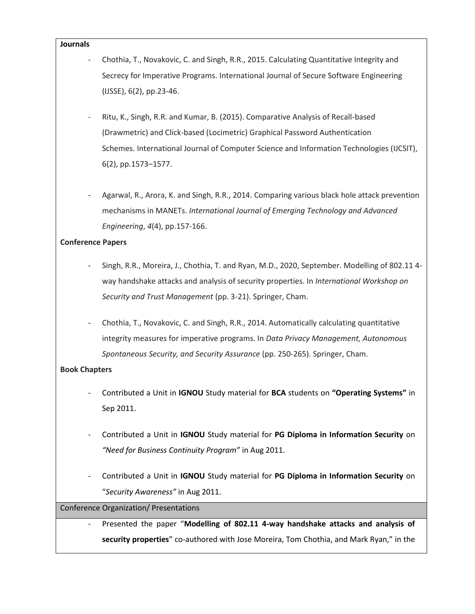#### **Journals**

- Chothia, T., Novakovic, C. and Singh, R.R., 2015. Calculating Quantitative Integrity and Secrecy for Imperative Programs. International Journal of Secure Software Engineering (IJSSE), 6(2), pp.23-46.
- Ritu, K., Singh, R.R. and Kumar, B. (2015). Comparative Analysis of Recall-based (Drawmetric) and Click-based (Locimetric) Graphical Password Authentication Schemes. International Journal of Computer Science and Information Technologies (IJCSIT), 6(2), pp.1573–1577.
- Agarwal, R., Arora, K. and Singh, R.R., 2014. Comparing various black hole attack prevention mechanisms in MANETs. *International Journal of Emerging Technology and Advanced Engineering*, *4*(4), pp.157-166.

# **Conference Papers**

- Singh, R.R., Moreira, J., Chothia, T. and Ryan, M.D., 2020, September. Modelling of 802.11 4 way handshake attacks and analysis of security properties. In *International Workshop on Security and Trust Management* (pp. 3-21). Springer, Cham.
- Chothia, T., Novakovic, C. and Singh, R.R., 2014. Automatically calculating quantitative integrity measures for imperative programs. In *Data Privacy Management, Autonomous Spontaneous Security, and Security Assurance* (pp. 250-265). Springer, Cham.

# **Book Chapters**

- Contributed a Unit in **IGNOU** Study material for **BCA** students on **"Operating Systems"** in Sep 2011.
- Contributed a Unit in **IGNOU** Study material for **PG Diploma in Information Security** on *"Need for Business Continuity Program"* in Aug 2011.
- Contributed a Unit in **IGNOU** Study material for **PG Diploma in Information Security** on "*Security Awareness"* in Aug 2011.

# Conference Organization/ Presentations

- Presented the paper "**Modelling of 802.11 4-way handshake attacks and analysis of security properties**" co-authored with Jose Moreira, Tom Chothia, and Mark Ryan," in the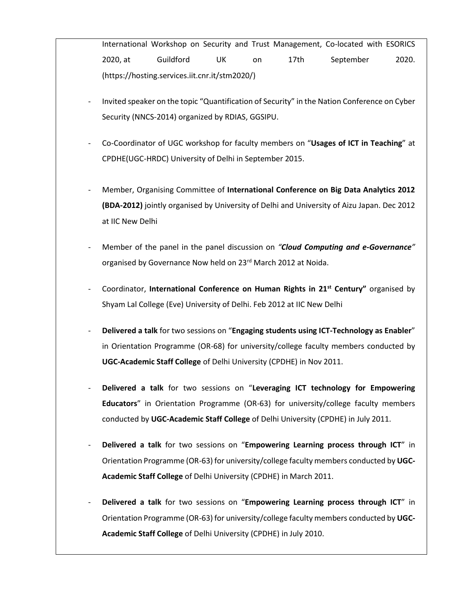International Workshop on Security and Trust Management, Co-located with ESORICS 2020, at Guildford UK on 17th September 2020. [\(https://hosting.services.iit.cnr.it/stm2020/\)](https://hosting.services.iit.cnr.it/stm2020/)

- Invited speaker on the topic "Quantification of Security" in the Nation Conference on Cyber Security (NNCS-2014) organized by RDIAS, GGSIPU.
- Co-Coordinator of UGC workshop for faculty members on "**Usages of ICT in Teaching**" at CPDHE(UGC-HRDC) University of Delhi in September 2015.
- Member, Organising Committee of **International Conference on Big Data Analytics 2012 (BDA-2012)** jointly organised by University of Delhi and University of Aizu Japan. Dec 2012 at IIC New Delhi
- Member of the panel in the panel discussion on *"Cloud Computing and e-Governance"*  organised by Governance Now held on 23<sup>rd</sup> March 2012 at Noida.
- Coordinator, **International Conference on Human Rights in 21st Century"** organised by Shyam Lal College (Eve) University of Delhi. Feb 2012 at IIC New Delhi
- **Delivered a talk** for two sessions on "**Engaging students using ICT-Technology as Enabler**" in Orientation Programme (OR-68) for university/college faculty members conducted by **UGC-Academic Staff College** of Delhi University (CPDHE) in Nov 2011.
- **Delivered a talk** for two sessions on "**Leveraging ICT technology for Empowering Educators**" in Orientation Programme (OR-63) for university/college faculty members conducted by **UGC-Academic Staff College** of Delhi University (CPDHE) in July 2011.
- **Delivered a talk** for two sessions on "**Empowering Learning process through ICT**" in Orientation Programme (OR-63) for university/college faculty members conducted by **UGC-Academic Staff College** of Delhi University (CPDHE) in March 2011.
- **Delivered a talk** for two sessions on "**Empowering Learning process through ICT**" in Orientation Programme (OR-63) for university/college faculty members conducted by **UGC-Academic Staff College** of Delhi University (CPDHE) in July 2010.